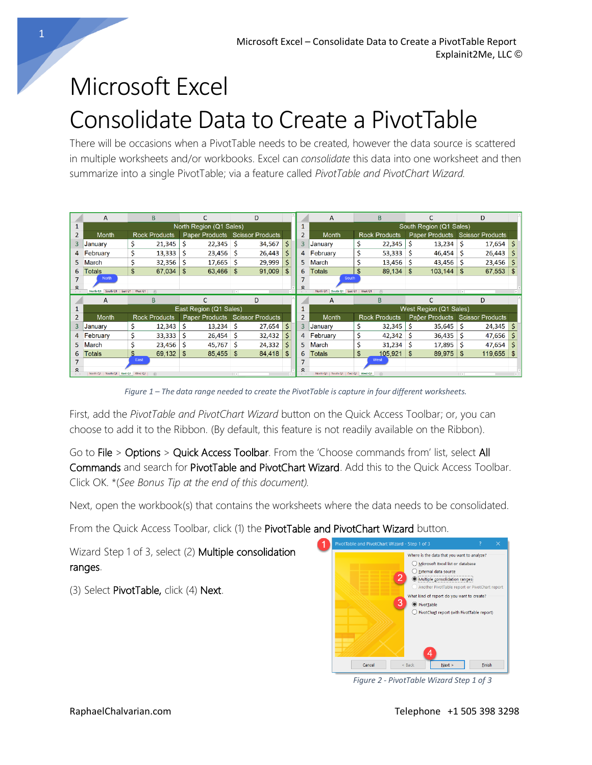## Microsoft Excel Consolidate Data to Create a PivotTable

There will be occasions when a PivotTable needs to be created, however the data source is scattered in multiple worksheets and/or workbooks. Excel can *consolidate* this data into one worksheet and then summarize into a single PivotTable; via a feature called *PivotTable and PivotChart Wizard.*

|   | A                       | R.                       |        |                        |             |          | D                               |                    |                | A                                   |    | B                           |     |                        |       | D                               |   |
|---|-------------------------|--------------------------|--------|------------------------|-------------|----------|---------------------------------|--------------------|----------------|-------------------------------------|----|-----------------------------|-----|------------------------|-------|---------------------------------|---|
|   | North Region (Q1 Sales) |                          |        |                        |             |          |                                 |                    |                | South Region (Q1 Sales)             |    |                             |     |                        |       |                                 |   |
|   | Month                   | <b>Rock Products</b>     |        |                        |             |          | Paper Products Scissor Products |                    | $\overline{2}$ | <b>Month</b>                        |    | <b>Rock Products</b>        |     |                        |       | Paper Products Scissor Products |   |
| 3 | January                 | \$                       | 21,345 | S                      | $22,345$ \$ |          | 34,567                          | S.                 | 3              | January                             |    | 22,345                      |     | 13,234                 | S     | 17,654                          | S |
| 4 | February                | \$                       | 13,333 | Ś                      | $23,456$ \$ |          | 26,443                          | Ś.                 | 4              | February                            |    | 53,333                      | -S  | 46,454                 |       | 26,443                          |   |
|   | March                   | Ś                        | 32,356 |                        | $17,665$ \$ |          | 29,999                          | Ś.                 | 5.             | March                               |    | 13,456                      | -S  | 43,456                 |       | 23,456                          | S |
| 6 | Totals                  | \$                       | 67,034 | \$                     | 63,466 \$   |          | 91,009                          | $\mathbf{\hat{s}}$ | 6              | Totals                              |    | 89,134                      | -\$ | 103,144                | \$    | 67,553                          |   |
|   | <b>North</b>            |                          |        |                        |             |          |                                 |                    |                | South                               |    |                             |     |                        |       |                                 |   |
|   | North Q1 South Q1       | East O1   West O1<br>(F) |        |                        |             | $-1 - 1$ |                                 |                    |                | North Q1 South Q1 East Q1   West Q1 |    | $\left( \widehat{+}\right)$ |     |                        | $-14$ |                                 |   |
|   |                         |                          |        |                        |             |          |                                 |                    |                |                                     |    |                             |     |                        |       |                                 |   |
|   | A                       | B                        |        | C                      |             |          | D                               |                    |                | А                                   |    | B                           |     | C                      |       | D                               |   |
|   |                         |                          |        | East Region (Q1 Sales) |             |          |                                 |                    |                |                                     |    |                             |     | West Region (Q1 Sales) |       |                                 |   |
|   | Month                   | Rock Products            |        |                        |             |          | Paper Products Scissor Products |                    | $\overline{2}$ | <b>Month</b>                        |    | <b>Rock Products</b>        |     |                        |       | Paper Products Scissor Products |   |
| 3 | January                 | \$                       | 12,343 |                        | $13.234$ \$ |          | 27,654                          | Ś                  | 3              | January                             |    | 32,345                      |     | 35,645                 |       | 24,345                          | S |
| 4 | February                | Ś                        | 33,333 |                        | $26,454$ \$ |          | 32,432                          | Ś                  |                | 4 February                          |    | 42,342                      | Ŝ   | 36,435                 |       | 47,656                          |   |
|   | March                   |                          | 23,456 | Ś                      | 45,767      | -S       | 24,332                          | Ś.                 | 5.             | <b>March</b>                        |    | 31,234                      | Ŝ   | 17,895                 |       | 47,654                          |   |
| 6 | <b>Totals</b>           | \$.                      | 69,132 | \$                     | 85,455      | -\$      | 84,418                          |                    | 6              | <b>Totals</b>                       | \$ | 105,921                     | \$  | 89.975                 |       | 119,655                         |   |
|   |                         | East                     |        |                        |             |          |                                 |                    |                |                                     |    | West                        |     |                        |       |                                 |   |

*Figure 1 – The data range needed to create the PivotTable is capture in four different worksheets.*

First, add the *PivotTable and PivotChart Wizard* button on the Quick Access Toolbar; or, you can choose to add it to the Ribbon. (By default, this feature is not readily available on the Ribbon).

Go to File > Options > Quick Access Toolbar. From the 'Choose commands from' list, select All Commands and search for PivotTable and PivotChart Wizard. Add this to the Quick Access Toolbar. Click OK. \*(*See Bonus Tip at the end of this document).*

Next, open the workbook(s) that contains the worksheets where the data needs to be consolidated.

From the Quick Access Toolbar, click (1) the PivotTable and PivotChart Wizard button.

Wizard Step 1 of 3, select (2) Multiple consolidation ranges.

(3) Select PivotTable, click (4) Next.



*Figure 2 - PivotTable Wizard Step 1 of 3*

1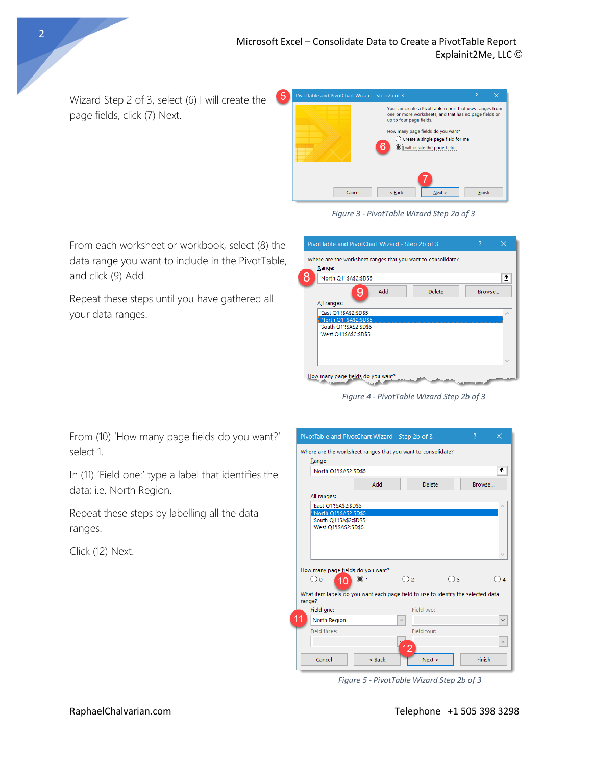Wizard Step 2 of 3, select (6) I will create the page fields, click (7) Next.

From each worksheet or workbook, select (8) the data range you want to include in the PivotTable,

Repeat these steps until you have gathered all



*Figure 3 - PivotTable Wizard Step 2a of 3*

| PivotTable and PivotChart Wizard - Step 2b of 3                        | 7      | $\times$ |
|------------------------------------------------------------------------|--------|----------|
| Where are the worksheet ranges that you want to consolidate?<br>Range: |        |          |
| 'North Q1"!\$A\$2:\$D\$5                                               |        | 杢        |
| Add<br><b>Delete</b><br>y                                              | Browse |          |
| All ranges:                                                            |        |          |
| 'East Q1'!\$A\$2:\$D\$5                                                |        |          |
| 'North Q1"!\$A\$2:\$D\$5<br>'South Q1'!\$A\$2:\$D\$5                   |        |          |
| 'West Q1'!\$A\$2:\$D\$5                                                |        |          |
|                                                                        |        |          |
|                                                                        |        |          |
|                                                                        |        |          |
| How many page fields do you want?                                      |        |          |

*Figure 4 - PivotTable Wizard Step 2b of 3*

From (10) 'How many page fields do you want?' select 1.

In (11) 'Field one:' type a label that identifies the data; i.e. North Region.

Repeat these steps by labelling all the data ranges.

Click (12) Next.

and click (9) Add.

your data ranges.

| PivotTable and PivotChart Wizard - Step 2b of 3                                             |                               |              |                |              | ?      | × |  |  |  |  |  |
|---------------------------------------------------------------------------------------------|-------------------------------|--------------|----------------|--------------|--------|---|--|--|--|--|--|
| Where are the worksheet ranges that you want to consolidate?<br>Range:                      |                               |              |                |              |        |   |  |  |  |  |  |
|                                                                                             | ±<br>'North Q1"!\$A\$2:\$D\$5 |              |                |              |        |   |  |  |  |  |  |
|                                                                                             | Add                           |              | <b>Delete</b>  |              | Browse |   |  |  |  |  |  |
| All ranges:                                                                                 |                               |              |                |              |        |   |  |  |  |  |  |
| 'East Q1'! \$A\$2: \$D\$5<br>'North Q1'!\$A\$2:\$D\$5                                       |                               |              |                |              |        |   |  |  |  |  |  |
| 'South Q1'!\$A\$2:\$D\$5<br>'West Q1'!\$A\$2:\$D\$5                                         |                               |              |                |              |        |   |  |  |  |  |  |
|                                                                                             |                               |              |                |              |        |   |  |  |  |  |  |
| How many page fields do you want?                                                           |                               |              |                |              |        |   |  |  |  |  |  |
| $\bigcirc$ o<br>$10^{-1}$                                                                   | $\odot$ 1                     |              | O <sub>2</sub> | $\bigcirc$ 3 |        | 4 |  |  |  |  |  |
| What item labels do you want each page field to use to identify the selected data<br>range? |                               |              |                |              |        |   |  |  |  |  |  |
| Field one:                                                                                  |                               |              | Field two:     |              |        |   |  |  |  |  |  |
| 11<br><b>North Region</b>                                                                   |                               | $\checkmark$ |                |              |        |   |  |  |  |  |  |
| Field three:                                                                                |                               |              | Field four:    |              |        |   |  |  |  |  |  |
|                                                                                             |                               |              | 12             |              |        |   |  |  |  |  |  |
| Cancel                                                                                      | < Back                        |              | Next           |              | Finish |   |  |  |  |  |  |

*Figure 5 - PivotTable Wizard Step 2b of 3*